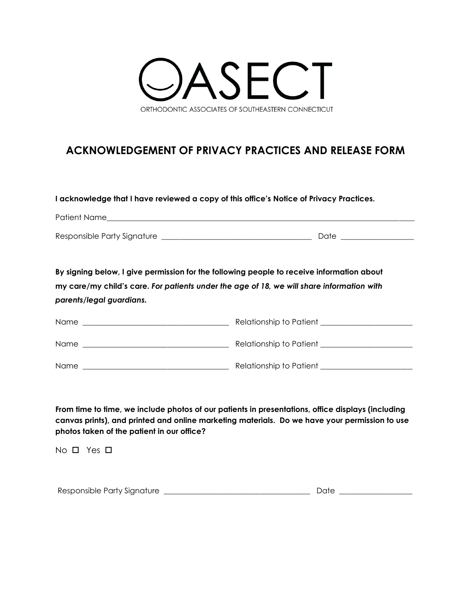

# **ACKNOWLEDGEMENT OF PRIVACY PRACTICES AND RELEASE FORM**

### **I acknowledge that I have reviewed a copy of this office's Notice of Privacy Practices.**

| Patient Name                |      |
|-----------------------------|------|
|                             |      |
| Responsible Party Signature | Date |

**By signing below, I give permission for the following people to receive information about my care/my child's care.** *For patients under the age of 18, we will share information with parents/legal guardians.* 

| Name        | Relationship to Patient |
|-------------|-------------------------|
| <b>Name</b> | Relationship to Patient |
| Name        | Relationship to Patient |

**From time to time, we include photos of our patients in presentations, office displays (including canvas prints), and printed and online marketing materials. Do we have your permission to use photos taken of the patient in our office?**

 $No$   $\square$  Yes  $\square$ 

| Responsible Party Signature | )até |
|-----------------------------|------|
|                             |      |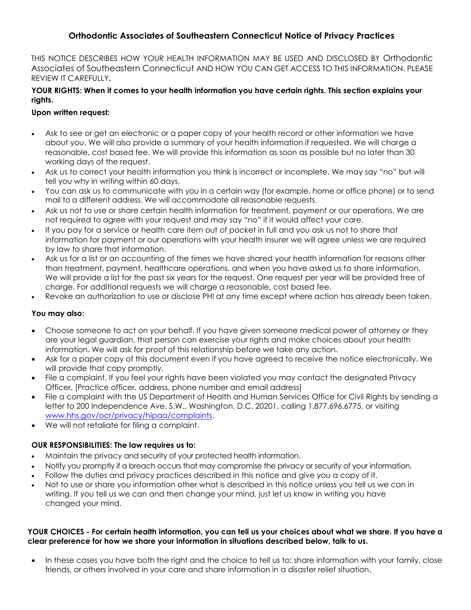## **Orthodontic Associates of Southeastern Connecticut Notice of Privacy Practices**

THIS NOTICE DESCRIBES HOW YOUR HEALTH INFORMATION MAY BE USED AND DISCLOSED BY Orthodontic Associates of Southeastern Connecticut AND HOW YOU CAN GET ACCESS TO THIS INFORMATION. PLEASE REVIEW IT CAREFULLY**.**

#### **YOUR RIGHTS: When it comes to your health information you have certain rights. This section explains your rights.**

#### **Upon written request:**

- Ask to see or get an electronic or a paper copy of your health record or other information we have about you. We will also provide a summary of your health information if requested. We will charge a reasonable, cost based fee. We will provide this information as soon as possible but no later than 30 working days of the request.
- Ask us to correct your health information you think is incorrect or incomplete. We may say "no" but will tell you why in writing within 60 days.
- You can ask us to communicate with you in a certain way (for example, home or office phone) or to send mail to a different address. We will accommodate all reasonable requests.
- Ask us not to use or share certain health information for treatment, payment or our operations. We are not required to agree with your request and may say "no" if it would affect your care.
- If you pay for a service or health care item out of pocket in full and you ask us not to share that information for payment or our operations with your health insurer we will agree unless we are required by law to share that information.
- Ask us for a list or an accounting of the times we have shared your health information for reasons other than treatment, payment, healthcare operations, and when you have asked us to share information. We will provide a list for the past six years for the request. One request per year will be provided free of charge. For additional requests we will charge a reasonable, cost based fee.
- Revoke an authorization to use or disclose PHI at any time except where action has already been taken.

### **You may also:**

- Choose someone to act on your behalf. If you have given someone medical power of attorney or they are your legal guardian, that person can exercise your rights and make choices about your health information. We will ask for proof of this relationship before we take any action.
- Ask for a paper copy of this document even if you have agreed to receive the notice electronically. We will provide that copy promptly.
- File a complaint. If you feel your rights have been violated you may contact the designated Privacy Officer, [Practice officer, address, phone number and email address]
- File a complaint with the US Department of Health and Human Services Office for Civil Rights by sending a letter to 200 Independence Ave, S.W., Washington, D.C. 20201, calling 1.877.696.6775, or visiting [www.hhs.gov/ocr/privacy/hipaa/complaints.](http://www.hhs.gov/ocr/privacy/hipaa/complaints)
- We will not retaliate for filing a complaint.

### **OUR RESPONSIBILITIES: The law requires us to:**

- Maintain the privacy and security of your protected health information.
- Notify you promptly if a breach occurs that may compromise the privacy or security of your information.
- Follow the duties and privacy practices described in this notice and give you a copy of it.
- Not to use or share you information other what is described in this notice unless you tell us we can in writing. If you tell us we can and then change your mind, just let us know in writing you have changed your mind.

#### **YOUR CHOICES - For certain health information, you can tell us your choices about what we share. If you have a clear preference for how we share your information in situations described below, talk to us.**

 In these cases you have both the right and the choice to tell us to: share information with your family, close friends, or others involved in your care and share information in a disaster relief situation.